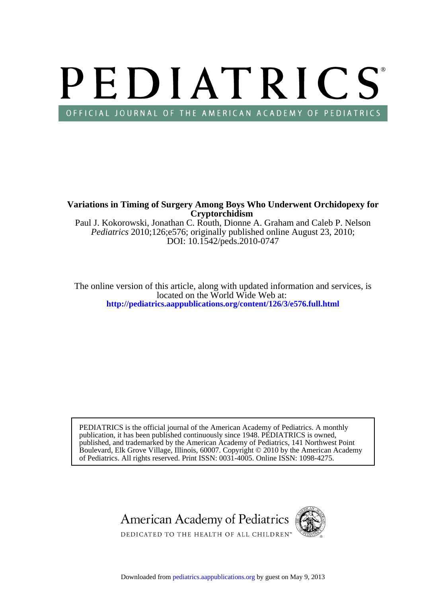# PEDIATRICS OFFICIAL JOURNAL OF THE AMERICAN ACADEMY OF PEDIATRICS

**Cryptorchidism Variations in Timing of Surgery Among Boys Who Underwent Orchidopexy for**

DOI: 10.1542/peds.2010-0747 *Pediatrics* 2010;126;e576; originally published online August 23, 2010; Paul J. Kokorowski, Jonathan C. Routh, Dionne A. Graham and Caleb P. Nelson

**<http://pediatrics.aappublications.org/content/126/3/e576.full.html>** located on the World Wide Web at: The online version of this article, along with updated information and services, is

of Pediatrics. All rights reserved. Print ISSN: 0031-4005. Online ISSN: 1098-4275. Boulevard, Elk Grove Village, Illinois, 60007. Copyright © 2010 by the American Academy published, and trademarked by the American Academy of Pediatrics, 141 Northwest Point publication, it has been published continuously since 1948. PEDIATRICS is owned, PEDIATRICS is the official journal of the American Academy of Pediatrics. A monthly

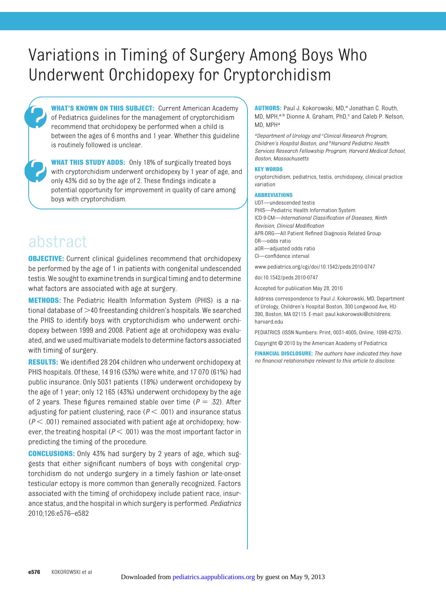## Variations in Timing of Surgery Among Boys Who Underwent Orchidopexy for Cryptorchidism

**WHAT'S KNOWN ON THIS SUBJECT:** Current American Academy of Pediatrics guidelines for the management of cryptorchidism recommend that orchidopexy be performed when a child is between the ages of 6 months and 1 year. Whether this guideline is routinely followed is unclear.

**WHAT THIS STUDY ADDS:** Only 18% of surgically treated boys with cryptorchidism underwent orchidopexy by 1 year of age, and only 43% did so by the age of 2. These findings indicate a potential opportunity for improvement in quality of care among boys with cryptorchidism.

### abstract

**OBJECTIVE:** Current clinical guidelines recommend that orchidopexy be performed by the age of 1 in patients with congenital undescended testis. We sought to examine trends in surgical timing and to determine what factors are associated with age at surgery.

**METHODS:** The Pediatric Health Information System (PHIS) is a national database of  $>$ 40 freestanding children's hospitals. We searched the PHIS to identify boys with cryptorchidism who underwent orchidopexy between 1999 and 2008. Patient age at orchidopexy was evaluated, and we used multivariate models to determine factors associated with timing of surgery.

**RESULTS:** We identified 28 204 children who underwent orchidopexy at PHIS hospitals. Of these, 14 916 (53%) were white, and 17 070 (61%) had public insurance. Only 5031 patients (18%) underwent orchidopexy by the age of 1 year; only 12 165 (43%) underwent orchidopexy by the age of 2 years. These figures remained stable over time  $(P = .32)$ . After adjusting for patient clustering, race  $(P < .001)$  and insurance status  $(P<.001)$  remained associated with patient age at orchidopexy; however, the treating hospital ( $P < .001$ ) was the most important factor in predicting the timing of the procedure.

**CONCLUSIONS:** Only 43% had surgery by 2 years of age, which suggests that either significant numbers of boys with congenital cryptorchidism do not undergo surgery in a timely fashion or late-onset testicular ectopy is more common than generally recognized. Factors associated with the timing of orchidopexy include patient race, insurance status, and the hospital in which surgery is performed. *Pediatrics* 2010;126:e576–e582

AUTHORS: Paul J. Kokorowski, MD,<sup>a</sup> Jonathan C. Routh, MD, MPH,<sup>a,b</sup> Dionne A. Graham, PhD,<sup>c</sup> and Caleb P. Nelson, MD, MPHa

*aDepartment of Urology and <sup>c</sup> Clinical Research Program, Children's Hospital Boston, and bHarvard Pediatric Health Services Research Fellowship Program, Harvard Medical School, Boston, Massachusetts*

#### **KEY WORDS**

cryptorchidism, pediatrics, testis, orchidopexy, clinical practice variation

#### **ABBREVIATIONS**

UDT—undescended testis PHIS—Pediatric Health Information System ICD-9-CM—*International Classification of Diseases, Ninth Revision, Clinical Modification* APR-DRG—All Patient Refined Diagnosis Related Group OR—odds ratio aOR—adjusted odds ratio CI—confidence interval

www.pediatrics.org/cgi/doi/10.1542/peds.2010-0747

doi:10.1542/peds.2010-0747

Accepted for publication May 28, 2010

Address correspondence to Paul J. Kokorowski, MD, Department of Urology, Children's Hospital Boston, 300 Longwood Ave, HU-390, Boston, MA 02115. E-mail: paul.kokorowski@childrens. harvard.edu

PEDIATRICS (ISSN Numbers: Print, 0031-4005; Online, 1098-4275).

Copyright © 2010 by the American Academy of Pediatrics

**FINANCIAL DISCLOSURE:** *The authors have indicated they have no financial relationships relevant to this article to disclose.*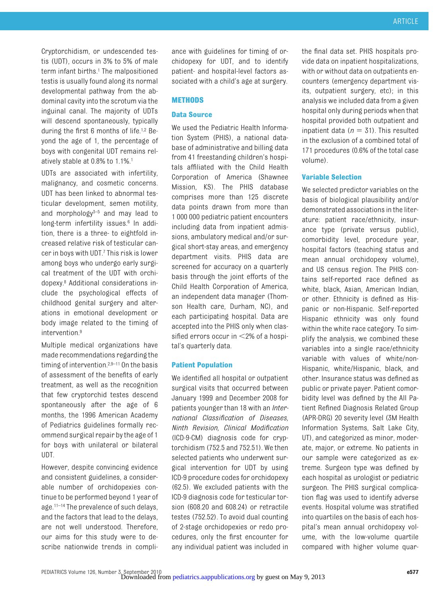Cryptorchidism, or undescended testis (UDT), occurs in 3% to 5% of male term infant births.<sup>1</sup> The malpositioned testis is usually found along its normal developmental pathway from the abdominal cavity into the scrotum via the inguinal canal. The majority of UDTs will descend spontaneously, typically during the first 6 months of life[.1,2](#page-7-0) Beyond the age of 1, the percentage of boys with congenital UDT remains relatively stable at 0.8% to 1.1%[.1](#page-7-0)

UDTs are associated with infertility, malignancy, and cosmetic concerns. UDT has been linked to abnormal testicular development, semen motility, and morphology $3-5$  and may lead to long-term infertility issues.<sup>6</sup> In addition, there is a three- to eightfold increased relative risk of testicular cancer in boys with UDT[.7](#page-7-0) This risk is lower among boys who undergo early surgical treatment of the UDT with orchidopexy[.8](#page-7-0) Additional considerations include the psychological effects of childhood genital surgery and alterations in emotional development or body image related to the timing of intervention[.9](#page-7-0)

Multiple medical organizations have made recommendations regarding the timing of intervention[.2,9–11](#page-7-0) On the basis of assessment of the benefits of early treatment, as well as the recognition that few cryptorchid testes descend spontaneously after the age of 6 months, the 1996 American Academy of Pediatrics guidelines formally recommend surgical repair by the age of 1 for boys with unilateral or bilateral UDT.

However, despite convincing evidence and consistent guidelines, a considerable number of orchidopexies continue to be performed beyond 1 year of age[.11–14](#page-7-0) The prevalence of such delays, and the factors that lead to the delays, are not well understood. Therefore, our aims for this study were to describe nationwide trends in compli-

ance with guidelines for timing of orchidopexy for UDT, and to identify patient- and hospital-level factors associated with a child's age at surgery.

#### **METHODS**

#### **Data Source**

We used the Pediatric Health Information System (PHIS), a national database of administrative and billing data from 41 freestanding children's hospitals affiliated with the Child Health Corporation of America (Shawnee Mission, KS). The PHIS database comprises more than 125 discrete data points drawn from more than 1 000 000 pediatric patient encounters including data from inpatient admissions, ambulatory medical and/or surgical short-stay areas, and emergency department visits. PHIS data are screened for accuracy on a quarterly basis through the joint efforts of the Child Health Corporation of America, an independent data manager (Thomson Health care, Durham, NC), and each participating hospital. Data are accepted into the PHIS only when classified errors occur in  $\leq$ 2% of a hospital's quarterly data.

#### **Patient Population**

We identified all hospital or outpatient surgical visits that occurred between January 1999 and December 2008 for patients younger than 18 with an *International Classification of Diseases, Ninth Revision, Clinical Modification* (ICD-9-CM) diagnosis code for cryptorchidism (752.5 and 752.51). We then selected patients who underwent surgical intervention for UDT by using ICD-9 procedure codes for orchidopexy (62.5). We excluded patients with the ICD-9 diagnosis code for testicular torsion (608.20 and 608.24) or retractile testes (752.52). To avoid dual counting of 2-stage orchidopexies or redo procedures, only the first encounter for any individual patient was included in the final data set. PHIS hospitals provide data on inpatient hospitalizations, with or without data on outpatients encounters (emergency department visits, outpatient surgery, etc); in this analysis we included data from a given hospital only during periods when that hospital provided both outpatient and inpatient data  $(n = 31)$ . This resulted in the exclusion of a combined total of 171 procedures (0.6% of the total case volume).

#### **Variable Selection**

We selected predictor variables on the basis of biological plausibility and/or demonstrated associations in the literature: patient race/ethnicity, insurance type (private versus public), comorbidity level, procedure year, hospital factors (teaching status and mean annual orchidopexy volume), and US census region. The PHIS contains self-reported race defined as white, black, Asian, American Indian, or other. Ethnicity is defined as Hispanic or non-Hispanic. Self-reported Hispanic ethnicity was only found within the white race category. To simplify the analysis, we combined these variables into a single race/ethnicity variable with values of white/non-Hispanic, white/Hispanic, black, and other. Insurance status was defined as public or private payer. Patient comorbidity level was defined by the All Patient Refined Diagnosis Related Group (APR-DRG) 20 severity level (3M Health Information Systems, Salt Lake City, UT), and categorized as minor, moderate, major, or extreme. No patients in our sample were categorized as extreme. Surgeon type was defined by each hospital as urologist or pediatric surgeon. The PHIS surgical complication flag was used to identify adverse events. Hospital volume was stratified into quartiles on the basis of each hospital's mean annual orchidopexy volume, with the low-volume quartile compared with higher volume quar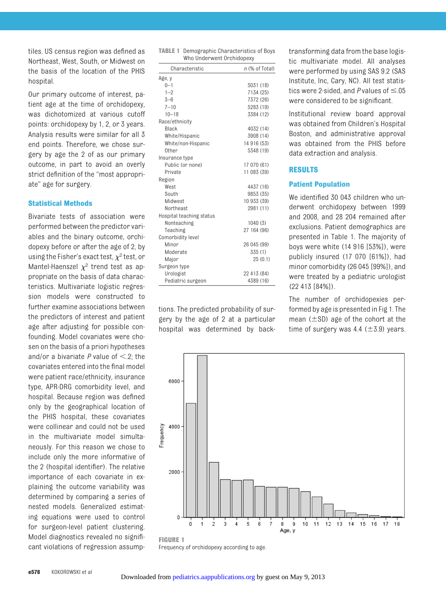tiles. US census region was defined as Northeast, West, South, or Midwest on the basis of the location of the PHIS hospital.

Our primary outcome of interest, patient age at the time of orchidopexy, was dichotomized at various cutoff points: orchidopexy by 1, 2, or 3 years. Analysis results were similar for all 3 end points. Therefore, we chose surgery by age the 2 of as our primary outcome, in part to avoid an overly strict definition of the "most appropriate" age for surgery.

#### **Statistical Methods**

Bivariate tests of association were performed between the predictor variables and the binary outcome, orchidopexy before or after the age of 2, by using the Fisher's exact test,  $\chi^2$  test, or Mantel-Haenszel  $\chi^2$  trend test as appropriate on the basis of data characteristics. Multivariate logistic regression models were constructed to further examine associations between the predictors of interest and patient age after adjusting for possible confounding. Model covariates were chosen on the basis of a priori hypotheses and/or a bivariate  $P$  value of  $\leq$ .2; the covariates entered into the final model were patient race/ethnicity, insurance type, APR-DRG comorbidity level, and hospital. Because region was defined only by the geographical location of the PHIS hospital, these covariates were collinear and could not be used in the multivariate model simultaneously. For this reason we chose to include only the more informative of the 2 (hospital identifier). The relative importance of each covariate in explaining the outcome variability was determined by comparing a series of nested models. Generalized estimating equations were used to control for surgeon-level patient clustering. Model diagnostics revealed no significant violations of regression assump-

| <b>TABLE 1</b> Demographic Characteristics of Boys |  |
|----------------------------------------------------|--|
| Who Underwent Orchidopexy                          |  |

| Characteristic           | n (% of Total) |
|--------------------------|----------------|
| Age, y                   |                |
| $0 - 1$                  | 5031 (18)      |
| $1 - 2$                  | 7134 (25)      |
| $3 - 6$                  | 7372 (26)      |
| $7 - 10$                 | 5283 (19)      |
| $10 - 18$                | 3384 (12)      |
| Race/ethnicity           |                |
| <b>Black</b>             | 4032 (14)      |
| White/Hispanic           | 3908 (14)      |
| White/non-Hispanic       | 14 916 (53)    |
| 0ther                    | 5348 (19)      |
| Insurance type           |                |
| Public (or none)         | 17 070 (61)    |
| Private                  | 11 083 (39)    |
| Region                   |                |
| West                     | 4437 (16)      |
| South                    | 9853 (35)      |
| Midwest                  | 10 933 (39)    |
| Northeast                | 2981 (11)      |
| Hospital teaching status |                |
| Nonteaching              | 1040(3)        |
| Teaching                 | 27 164 (96)    |
| Comorbidity level        |                |
| Minor                    | 26 045 (99)    |
| Moderate                 | 335 (1)        |
| Major                    | 25(0.1)        |
| Surgeon type             |                |
| Urologist                | 22 413 (84)    |
| Pediatric surgeon        | 4389 (16)      |

tions. The predicted probability of surgery by the age of 2 at a particular hospital was determined by backtransforming data from the base logistic multivariate model. All analyses were performed by using SAS 9.2 (SAS Institute, Inc, Cary, NC). All test statistics were 2-sided, and  $P$  values of  $\leq$ .05 were considered to be significant.

Institutional review board approval was obtained from Children's Hospital Boston, and administrative approval was obtained from the PHIS before data extraction and analysis.

#### **RESULTS**

#### **Patient Population**

We identified 30 043 children who underwent orchidopexy between 1999 and 2008, and 28 204 remained after exclusions. Patient demographics are presented in Table 1. The majority of boys were white (14 916 [53%]), were publicly insured (17 070 [61%]), had minor comorbidity (26 045 [99%]), and were treated by a pediatric urologist (22 413 [84%]).

The number of orchidopexies performed by age is presented in Fig 1. The mean  $(\pm SD)$  age of the cohort at the time of surgery was 4.4 ( $\pm$ 3.9) years.



Frequency of orchidopexy according to age.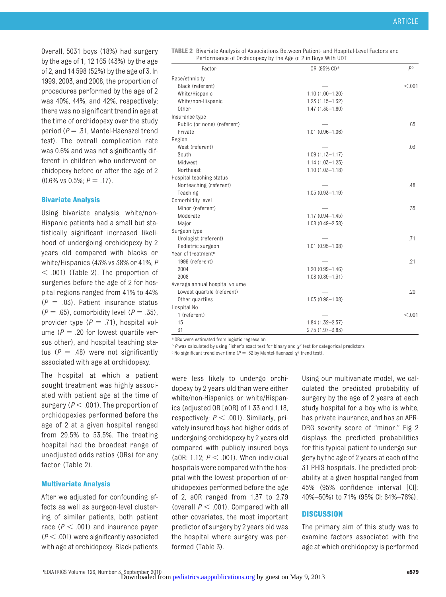Overall, 5031 boys (18%) had surgery by the age of 1, 12 165 (43%) by the age of 2, and 14 598 (52%) by the age of 3. In 1999, 2003, and 2008, the proportion of procedures performed by the age of 2 was 40%, 44%, and 42%, respectively; there was no significant trend in age at the time of orchidopexy over the study period  $(P = .31,$  Mantel-Haenszel trend test). The overall complication rate was 0.6% and was not significantly different in children who underwent orchidopexy before or after the age of 2  $(0.6\% \text{ vs } 0.5\%; P = .17).$ 

#### **Bivariate Analysis**

Using bivariate analysis, white/non-Hispanic patients had a small but statistically significant increased likelihood of undergoing orchidopexy by 2 years old compared with blacks or white/Hispanics (43% vs 38% or 41%; *P*  $<$  .001) (Table 2). The proportion of surgeries before the age of 2 for hospital regions ranged from 41% to 44%  $(P = .03)$ . Patient insurance status  $(P = .65)$ , comorbidity level  $(P = .35)$ , provider type  $(P = .71)$ , hospital volume  $(P = .20$  for lowest quartile versus other), and hospital teaching status  $(P = .48)$  were not significantly associated with age at orchidopexy.

The hospital at which a patient sought treatment was highly associated with patient age at the time of surgery  $(P < .001)$ . The proportion of orchidopexies performed before the age of 2 at a given hospital ranged from 29.5% to 53.5%. The treating hospital had the broadest range of unadjusted odds ratios (ORs) for any factor (Table 2).

#### **Multivariate Analysis**

After we adjusted for confounding effects as well as surgeon-level clustering of similar patients, both patient race  $(P < .001)$  and insurance payer  $(P < .001)$  were significantly associated with age at orchidopexy. Black patients **TABLE 2** Bivariate Analysis of Associations Between Patient- and Hospital-Level Factors and Performance of Orchidopexy by the Age of 2 in Boys With UDT

| Factor                         | OR (95% CI) <sup>a</sup> | pb     |
|--------------------------------|--------------------------|--------|
| Race/ethnicity                 |                          |        |
| Black (referent)               |                          | < 0.01 |
| White/Hispanic                 | $1.10(1.00 - 1.20)$      |        |
| White/non-Hispanic             | $1.23(1.15 - 1.32)$      |        |
| Other                          | $1.47(1.35 - 1.60)$      |        |
| Insurance type                 |                          |        |
| Public (or none) (referent)    |                          | .65    |
| Private                        | $1.01(0.96 - 1.06)$      |        |
| Region                         |                          |        |
| West (referent)                |                          | .03    |
| South                          | $1.09(1.13 - 1.17)$      |        |
| Midwest                        | $1.14(1.03 - 1.25)$      |        |
| Northeast                      | $1.10(1.03 - 1.18)$      |        |
| Hospital teaching status       |                          |        |
| Nonteaching (referent)         |                          | .48    |
| Teaching                       | $1.05(0.93 - 1.19)$      |        |
| Comorbidity level              |                          |        |
| Minor (referent)               |                          | .35    |
| Moderate                       | $1.17(0.94 - 1.45)$      |        |
| Major                          | $1.08(0.49 - 2.38)$      |        |
| Surgeon type                   |                          |        |
| Urologist (referent)           |                          | .71    |
| Pediatric surgeon              | $1.01(0.95 - 1.08)$      |        |
| Year of treatment <sup>c</sup> |                          |        |
| 1999 (referent)                |                          | .21    |
| 2004                           | $1.20(0.99 - 1.46)$      |        |
| 2008                           | $1.08(0.89 - 1.31)$      |        |
| Average annual hospital volume |                          |        |
| Lowest quartile (referent)     |                          | .20    |
| Other quartiles                | $1.03(0.98 - 1.08)$      |        |
| Hospital No.                   |                          |        |
| 1 (referent)                   |                          | < 0.01 |
| 15                             | $1.84(1.32 - 2.57)$      |        |
| 31                             | 2.75 (1.97-3.83)         |        |

a ORs were estimated from logistic regression*.*

 $\Delta^p$  *P* was calculated by using Fisher's exact test for binary and  $\chi^2$  test for categorical predictors.

<sup>c</sup> No significant trend over time ( $P = 0.32$  by Mantel-Haenszel  $\chi^2$  trend test).

were less likely to undergo orchidopexy by 2 years old than were either white/non-Hispanics or white/Hispanics (adjusted OR [aOR] of 1.33 and 1.18, respectively;  $P < .001$ ). Similarly, privately insured boys had higher odds of undergoing orchidopexy by 2 years old compared with publicly insured boys (aOR: 1.12;  $P < .001$ ). When individual hospitals were compared with the hospital with the lowest proportion of orchidopexies performed before the age of 2, aOR ranged from 1.37 to 2.79 (overall  $P < .001$ ). Compared with all other covariates, the most important predictor of surgery by 2 years old was the hospital where surgery was performed [\(Table 3\)](#page-5-0).

Using our multivariate model, we calculated the predicted probability of surgery by the age of 2 years at each study hospital for a boy who is white, has private insurance, and has an APR-DRG severity score of "minor." [Fig 2](#page-5-0) displays the predicted probabilities for this typical patient to undergo surgery by the age of 2 years at each of the 31 PHIS hospitals. The predicted probability at a given hospital ranged from 45% (95% confidence interval [CI]: 40%–50%) to 71% (95% CI: 64%–76%).

#### **DISCUSSION**

The primary aim of this study was to examine factors associated with the age at which orchidopexy is performed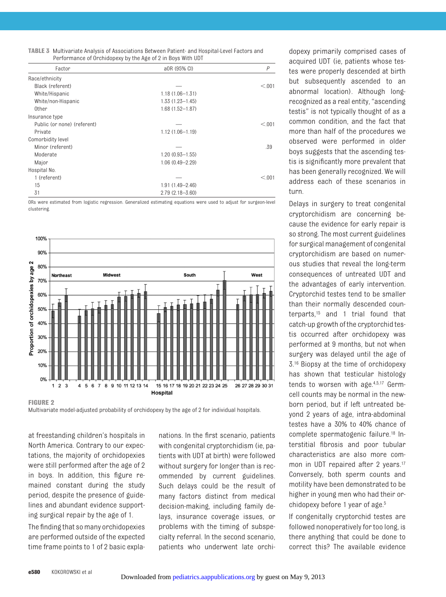<span id="page-5-0"></span>

| <b>TABLE 3</b> Multivariate Analysis of Associations Between Patient- and Hospital-Level Factors and |  |
|------------------------------------------------------------------------------------------------------|--|
| Performance of Orchidopexy by the Age of 2 in Boys With UDT                                          |  |

| Factor                      | a0R (95% CI)        | P      |
|-----------------------------|---------------------|--------|
| Race/ethnicity              |                     |        |
| Black (referent)            |                     | < 0.01 |
| White/Hispanic              | $1.18(1.06 - 1.31)$ |        |
| White/non-Hispanic          | $1.33(1.23 - 1.45)$ |        |
| Other                       | $1.68(1.52 - 1.87)$ |        |
| Insurance type              |                     |        |
| Public (or none) (referent) |                     | < 0.01 |
| Private                     | $1.12(1.06 - 1.19)$ |        |
| Comorbidity level           |                     |        |
| Minor (referent)            |                     | .39    |
| Moderate                    | $1.20(0.93 - 1.55)$ |        |
| Major                       | $1.06(0.49 - 2.29)$ |        |
| Hospital No.                |                     |        |
| 1 (referent)                |                     | < 0.01 |
| 15                          | $1.91(1.49 - 2.46)$ |        |
| 31                          | $2.79(2.18 - 3.60)$ |        |

ORs were estimated from logistic regression. Generalized estimating equations were used to adjust for surgeon-level clustering.



Multivariate model-adjusted probability of orchidopexy by the age of 2 for individual hospitals.

at freestanding children's hospitals in North America. Contrary to our expectations, the majority of orchidopexies were still performed after the age of 2 in boys. In addition, this figure remained constant during the study period, despite the presence of guidelines and abundant evidence supporting surgical repair by the age of 1.

The finding that so many orchidopexies are performed outside of the expected time frame points to 1 of 2 basic explanations. In the first scenario, patients with congenital cryptorchidism (ie, patients with UDT at birth) were followed without surgery for longer than is recommended by current guidelines. Such delays could be the result of many factors distinct from medical decision-making, including family delays, insurance coverage issues, or problems with the timing of subspecialty referral. In the second scenario, patients who underwent late orchidopexy primarily comprised cases of acquired UDT (ie, patients whose testes were properly descended at birth but subsequently ascended to an abnormal location). Although longrecognized as a real entity, "ascending testis" is not typically thought of as a common condition, and the fact that more than half of the procedures we observed were performed in older boys suggests that the ascending testis is significantly more prevalent that has been generally recognized. We will address each of these scenarios in turn.

Delays in surgery to treat congenital cryptorchidism are concerning because the evidence for early repair is so strong. The most current guidelines for surgical management of congenital cryptorchidism are based on numerous studies that reveal the long-term consequences of untreated UDT and the advantages of early intervention. Cryptorchid testes tend to be smaller than their normally descended counterparts[,15](#page-7-0) and 1 trial found that catch-up growth of the cryptorchid testis occurred after orchidopexy was performed at 9 months, but not when surgery was delayed until the age of 3[.16](#page-7-0) Biopsy at the time of orchidopexy has shown that testicular histology tends to worsen with age[.4,5,17](#page-7-0) Germcell counts may be normal in the newborn period, but if left untreated beyond 2 years of age, intra-abdominal testes have a 30% to 40% chance of complete spermatogenic failure[.18](#page-7-0) Interstitial fibrosis and poor tubular characteristics are also more common in UDT repaired after 2 years.<sup>17</sup> Conversely, both sperm counts and motility have been demonstrated to be higher in young men who had their orchidopexy before 1 year of age.<sup>5</sup>

If congenitally cryptorchid testes are followed nonoperatively for too long, is there anything that could be done to correct this? The available evidence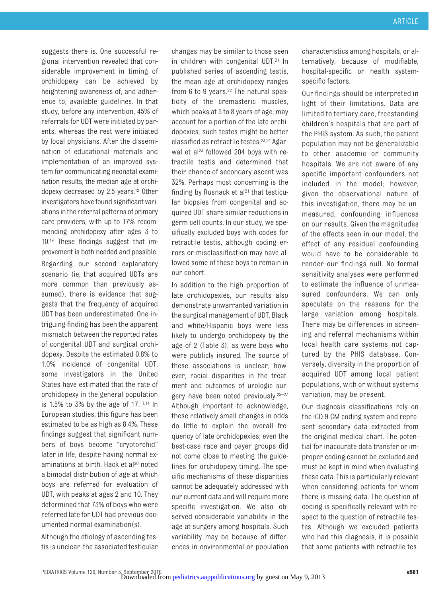suggests there is. One successful regional intervention revealed that considerable improvement in timing of orchidopexy can be achieved by heightening awareness of, and adherence to, available guidelines. In that study, before any intervention, 45% of referrals for UDT were initiated by parents, whereas the rest were initiated by local physicians. After the dissemination of educational materials and implementation of an improved system for communicating neonatal examination results, the median age at orchidopexy decreased by 2.5 years[.12](#page-7-0) Other investigators have found significant variations inthe referral patterns of primary care providers, with up to 17% recommending orchidopexy after ages 3 to 10[.19](#page-7-0) These findings suggest that improvement is both needed and possible. Regarding our second explanatory scenario (ie, that acquired UDTs are more common than previously assumed), there is evidence that suggests that the frequency of acquired UDT has been underestimated. One intriguing finding has been the apparent mismatch between the reported rates of congenital UDT and surgical orchidopexy. Despite the estimated 0.8% to 1.0% incidence of congenital UDT, some investigators in the United States have estimated that the rate of orchidopexy in the general population is 1.5% to 3% by the age of 17. $11,14$  In European studies, this figure has been estimated to be as high as 8.4%. These findings suggest that significant numbers of boys become "cryptorchid" later in life, despite having normal examinations at birth. Hack et al<sup>20</sup> noted a bimodal distribution of age at which boys are referred for evaluation of UDT, with peaks at ages 2 and 10. They determined that 73% of boys who were referred late for UDT had previous documented normal examination(s).

Although the etiology of ascending testis is unclear, the associated testicular

changes may be similar to those seen in children with congenital UDT.<sup>21</sup> In published series of ascending testis, the mean age at orchidopexy ranges from 6 to 9 years.<sup>22</sup> The natural spasticity of the cremasteric muscles, which peaks at 5 to 8 years of age, may account for a portion of the late orchidopexies; such testes might be better classified as retractile testes[.23,24](#page-7-0) Agarwal et al<sup>23</sup> followed 204 boys with retractile testis and determined that their chance of secondary ascent was 32%. Perhaps most concerning is the finding by Rusnack et al<sup>21</sup> that testicular biopsies from congenital and acquired UDT share similar reductions in germ cell counts. In our study, we specifically excluded boys with codes for retractile testis, although coding errors or misclassification may have allowed some of these boys to remain in our cohort.

In addition to the high proportion of late orchidopexies, our results also demonstrate unwarranted variation in the surgical management of UDT. Black and white/Hispanic boys were less likely to undergo orchidopexy by the age of 2 [\(Table 3\)](#page-5-0), as were boys who were publicly insured. The source of these associations is unclear; however, racial disparities in the treatment and outcomes of urologic surgery have been noted previously[.25–27](#page-7-0) Although important to acknowledge, these relatively small changes in odds do little to explain the overall frequency of late orchidopexies; even the best-case race and payer groups did not come close to meeting the guidelines for orchidopexy timing. The specific mechanisms of these disparities cannot be adequately addressed with our current data and will require more specific investigation. We also observed considerable variability in the age at surgery among hospitals. Such variability may be because of differences in environmental or population

characteristics among hospitals, or alternatively, because of modifiable, hospital-specific or health systemspecific factors.

Our findings should be interpreted in light of their limitations. Data are limited to tertiary-care, freestanding children's hospitals that are part of the PHIS system. As such, the patient population may not be generalizable to other academic or community hospitals. We are not aware of any specific important confounders not included in the model; however, given the observational nature of this investigation, there may be unmeasured, confounding influences on our results. Given the magnitudes of the effects seen in our model, the effect of any residual confounding would have to be considerable to render our findings null. No formal sensitivity analyses were performed to estimate the influence of unmeasured confounders. We can only speculate on the reasons for the large variation among hospitals. There may be differences in screening and referral mechanisms within local health care systems not captured by the PHIS database. Conversely, diversity in the proportion of acquired UDT among local patient populations, with or without systems variation, may be present.

Our diagnosis classifications rely on the ICD-9-CM coding system and represent secondary data extracted from the original medical chart. The potential for inaccurate data transfer or improper coding cannot be excluded and must be kept in mind when evaluating these data. This is particularly relevant when considering patients for whom there is missing data. The question of coding is specifically relevant with respect to the question of retractile testes. Although we excluded patients who had this diagnosis, it is possible that some patients with retractile tes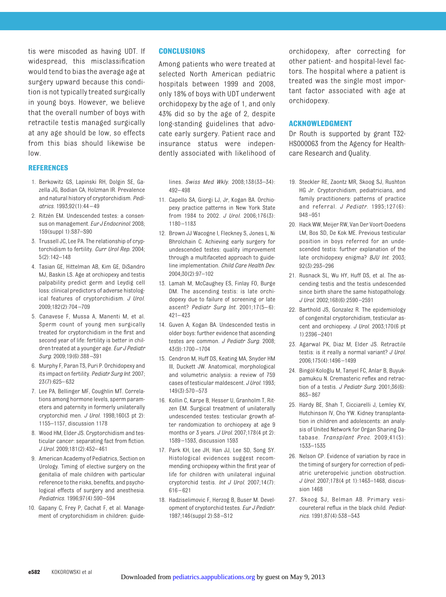<span id="page-7-0"></span>tis were miscoded as having UDT. If widespread, this misclassification would tend to bias the average age at surgery upward because this condition is not typically treated surgically in young boys. However, we believe that the overall number of boys with retractile testis managed surgically at any age should be low, so effects from this bias should likewise be low.

#### **REFERENCES**

- 1. Berkowitz GS, Lapinski RH, Dolgin SE, Gazella JG, Bodian CA, Holzman IR. Prevalence and natural history of cryptorchidism. *Pediatrics*. 1993;92(1):44 – 49
- 2. Ritzén EM. Undescended testes: a consensus on management. *Eur J Endocrinol*. 2008; 159(suppl 1):S87–S90
- 3. Trussell JC, Lee PA. The relationship of cryptorchidism to fertility. *Curr Urol Rep*. 2004; 5(2):142–148
- 4. Tasian GE, Hittelman AB, Kim GE, DiSandro MJ, Baskin LS. Age at orchiopexy and testis palpability predict germ and Leydig cell loss: clinical predictors of adverse histological features of cryptorchidism. *J Urol*. 2009;182(2):704 –709
- 5. Canavese F, Mussa A, Manenti M, et al. Sperm count of young men surgically treated for cryptorchidism in the first and second year of life: fertility is better in children treated at a younger age. *Eur J Pediatr Surg*. 2009;19(6):388 –391
- 6. Murphy F, Paran TS, Puri P. Orchidopexy and its impact on fertility. *Pediatr Surg Int*. 2007; 23(7):625– 632
- 7. Lee PA, Bellinger MF, Coughlin MT. Correlations among hormone levels, sperm parameters and paternity in formerly unilaterally cryptorchid men. *J Urol*. 1998;160(3 pt 2): 1155–1157, discussion 1178
- 8. Wood HM, Elder JS. Cryptorchidism and testicular cancer: separating fact from fiction. *J Urol*. 2009;181(2):452– 461
- 9. American Academy of Pediatrics, Section on Urology. Timing of elective surgery on the genitalia of male children with particular reference to the risks, benefits, and psychological effects of surgery and anesthesia. *Pediatrics*. 1996;97(4):590 –594
- 10. Gapany C, Frey P, Cachat F, et al. Management of cryptorchidism in children: guide-

#### **CONCLUSIONS**

Among patients who were treated at selected North American pediatric hospitals between 1999 and 2008, only 18% of boys with UDT underwent orchidopexy by the age of 1, and only 43% did so by the age of 2, despite long-standing guidelines that advocate early surgery. Patient race and insurance status were independently associated with likelihood of

lines. *Swiss Med Wkly*. 2008;138(33–34): 492– 498

- 11. Capello SA, Giorgi LJ, Jr, Kogan BA. Orchiopexy practice patterns in New York State from 1984 to 2002. *J Urol*. 2006;176(3): 1180 –1183
- 12. Brown JJ Wacogne I, Fleckney S, Jones L, Ni Bhrolchain C. Achieving early surgery for undescended testes: quality improvement through a multifaceted approach to guideline implementation. *Child Care Health Dev*. 2004;30(2):97–102
- 13. Lamah M, McCaughey ES, Finlay FO, Burge DM. The ascending testis: is late orchidopexy due to failure of screening or late ascent? *Pediatr Surg Int*. 2001;17(5– 6):  $421 - 423$
- 14. Guven A, Kogan BA. Undescended testis in older boys: further evidence that ascending testes are common. *J Pediatr Surg*. 2008; 43(9):1700 –1704
- 15. Cendron M, Huff DS, Keating MA, Snyder HM III, Duckett JW. Anatomical, morphological and volumetric analysis: a review of 759 cases of testicular maldescent. *J Urol*. 1993; 149(3):570 –573
- 16. Kollin C, Karpe B, Hesser U, Granholm T, Ritzen EM. Surgical treatment of unilaterally undescended testes: testicular growth after randomization to orchiopexy at age 9 months or 3 years. *J Urol*. 2007;178(4 pt 2): 1589 –1593, discussion 1593
- 17. Park KH, Lee JH, Han JJ, Lee SD, Song SY. Histological evidences suggest recommending orchiopexy within the first year of life for children with unilateral inguinal cryptorchid testis. *Int J Urol*. 2007;14(7): 616 – 621
- 18. Hadziselimovic F, Herzog B, Buser M. Development of cryptorchid testes. *Eur J Pediatr*. 1987;146(suppl 2):S8 –S12

orchidopexy, after correcting for other patient- and hospital-level factors. The hospital where a patient is treated was the single most important factor associated with age at orchidopexy.

#### **ACKNOWLEDGMENT**

Dr Routh is supported by grant T32- HS000063 from the Agency for Healthcare Research and Quality.

- 19. Steckler RE, Zaontz MR, Skoog SJ, Rushton HG Jr. Cryptorchidism, pediatricians, and family practitioners: patterns of practice and referral. *J Pediatr*. 1995;127(6): 948 –951
- 20. Hack WW, Meijer RW, Van Der Voort-Doedens LM, Bos SD, De Kok ME. Previous testicular position in boys referred for an undescended testis: further explanation of the late orchidopexy enigma? *BJU Int*. 2003; 92(3):293–296
- 21. Rusnack SL, Wu HY, Huff DS, et al. The ascending testis and the testis undescended since birth share the same histopathology. *J Urol*. 2002;168(6):2590 –2591
- 22. Barthold JS, Gonzalez R. The epidemiology of congenital cryptorchidism, testicular ascent and orchiopexy. *J Urol*. 2003;170(6 pt 1):2396 –2401
- 23. Agarwal PK, Diaz M, Elder JS. Retractile testis: is it really a normal variant? *J Urol*. 2006;175(4):1496 –1499
- 24. Bingöl-Koloğlu M, Tanyel FC, Anlar B, Buyukpamukcu N. Cremasteric reflex and retraction of a testis. *J Pediatr Surg*. 2001;36(6): 863– 867
- 25. Hardy BE, Shah T, Cicciarelli J, Lemley KV, Hutchinson IV, Cho YW. Kidney transplantation in children and adolescents: an analysis of United Network for Organ Sharing Database. *Transplant Proc*. 2009;41(5): 1533–1535
- 26. Nelson CP. Evidence of variation by race in the timing of surgery for correction of pediatric ureteropelvic junction obstruction. *J Urol*. 2007;178(4 pt 1):1463–1468, discussion 1468
- 27. Skoog SJ, Belman AB. Primary vesicoureteral reflux in the black child. *Pediatrics*. 1991;87(4):538 –543